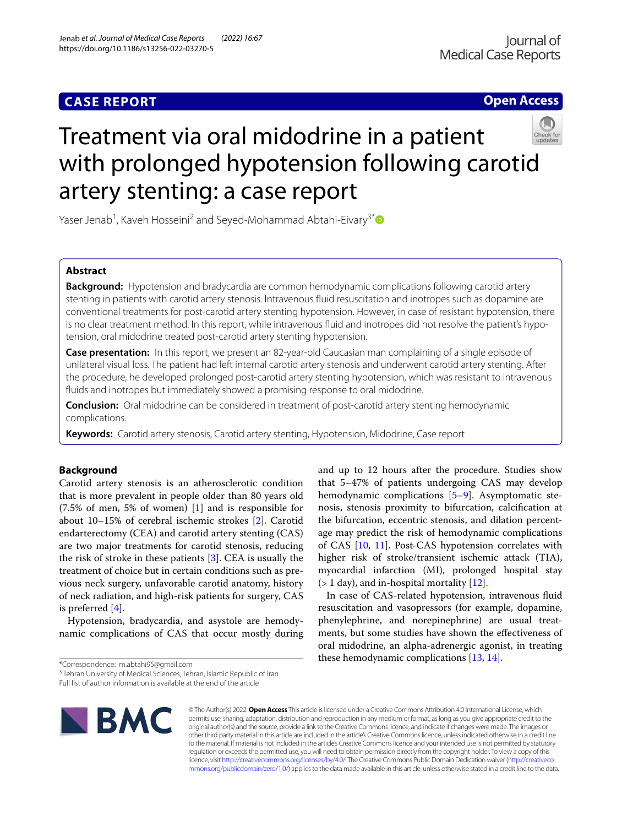# **CASE REPORT**

**Open Access**

# Treatment via oral midodrine in a patient with prolonged hypotension following carotid artery stenting: a case report

Yaser Jenab<sup>1</sup>, Kaveh Hosseini<sup>2</sup> and Seyed-Mohammad Abtahi-Eivary<sup>3[\\*](http://orcid.org/0000-0002-4187-720X)</sup>

## **Abstract**

**Background:** Hypotension and bradycardia are common hemodynamic complications following carotid artery stenting in patients with carotid artery stenosis. Intravenous fuid resuscitation and inotropes such as dopamine are conventional treatments for post-carotid artery stenting hypotension. However, in case of resistant hypotension, there is no clear treatment method. In this report, while intravenous fluid and inotropes did not resolve the patient's hypotension, oral midodrine treated post-carotid artery stenting hypotension.

**Case presentation:** In this report, we present an 82-year-old Caucasian man complaining of a single episode of unilateral visual loss. The patient had left internal carotid artery stenosis and underwent carotid artery stenting. After the procedure, he developed prolonged post-carotid artery stenting hypotension, which was resistant to intravenous fuids and inotropes but immediately showed a promising response to oral midodrine.

**Conclusion:** Oral midodrine can be considered in treatment of post-carotid artery stenting hemodynamic complications.

**Keywords:** Carotid artery stenosis, Carotid artery stenting, Hypotension, Midodrine, Case report

## **Background**

Carotid artery stenosis is an atherosclerotic condition that is more prevalent in people older than 80 years old (7.5% of men, 5% of women) [[1\]](#page-2-0) and is responsible for about 10–15% of cerebral ischemic strokes [\[2\]](#page-2-1). Carotid endarterectomy (CEA) and carotid artery stenting (CAS) are two major treatments for carotid stenosis, reducing the risk of stroke in these patients [[3\]](#page-3-0). CEA is usually the treatment of choice but in certain conditions such as previous neck surgery, unfavorable carotid anatomy, history of neck radiation, and high-risk patients for surgery, CAS is preferred [\[4\]](#page-3-1).

Hypotension, bradycardia, and asystole are hemodynamic complications of CAS that occur mostly during

\*Correspondence: m.abtahi95@gmail.com

Full list of author information is available at the end of the article



© The Author(s) 2022. **Open Access** This article is licensed under a Creative Commons Attribution 4.0 International License, which permits use, sharing, adaptation, distribution and reproduction in any medium or format, as long as you give appropriate credit to the original author(s) and the source, provide a link to the Creative Commons licence, and indicate if changes were made. The images or other third party material in this article are included in the article's Creative Commons licence, unless indicated otherwise in a credit line to the material. If material is not included in the article's Creative Commons licence and your intended use is not permitted by statutory regulation or exceeds the permitted use, you will need to obtain permission directly from the copyright holder. To view a copy of this licence, visit [http://creativecommons.org/licenses/by/4.0/.](http://creativecommons.org/licenses/by/4.0/) The Creative Commons Public Domain Dedication waiver ([http://creativeco](http://creativecommons.org/publicdomain/zero/1.0/) [mmons.org/publicdomain/zero/1.0/](http://creativecommons.org/publicdomain/zero/1.0/)) applies to the data made available in this article, unless otherwise stated in a credit line to the data.

and up to 12 hours after the procedure. Studies show that 5–47% of patients undergoing CAS may develop hemodynamic complications [[5–](#page-3-2)[9\]](#page-3-3). Asymptomatic stenosis, stenosis proximity to bifurcation, calcifcation at the bifurcation, eccentric stenosis, and dilation percentage may predict the risk of hemodynamic complications of CAS [[10,](#page-3-4) [11\]](#page-3-5). Post-CAS hypotension correlates with higher risk of stroke/transient ischemic attack (TIA), myocardial infarction (MI), prolonged hospital stay  $($  1 day), and in-hospital mortality  $[12]$  $[12]$ .

In case of CAS-related hypotension, intravenous fuid resuscitation and vasopressors (for example, dopamine, phenylephrine, and norepinephrine) are usual treatments, but some studies have shown the efectiveness of oral midodrine, an alpha-adrenergic agonist, in treating these hemodynamic complications [[13,](#page-3-7) [14](#page-3-8)].

<sup>&</sup>lt;sup>3</sup> Tehran University of Medical Sciences, Tehran, Islamic Republic of Iran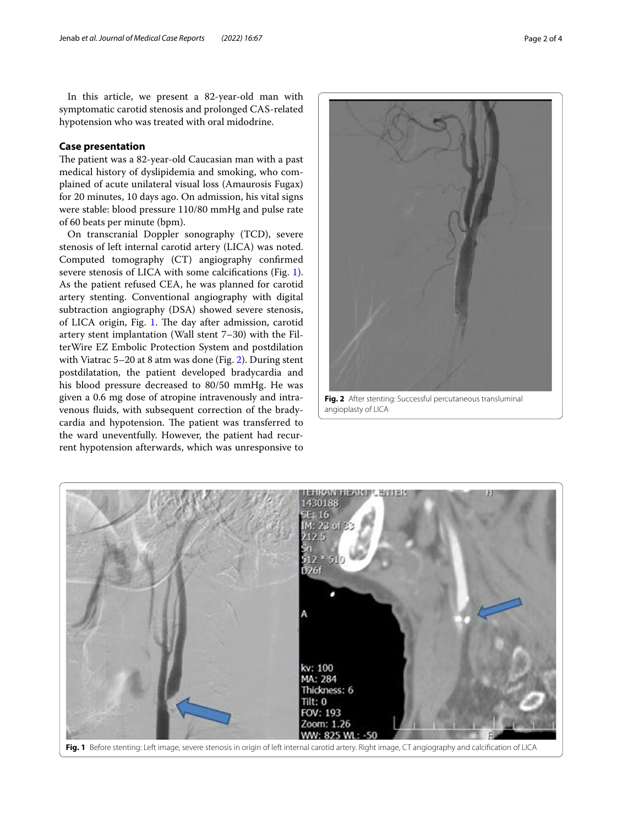In this article, we present a 82-year-old man with symptomatic carotid stenosis and prolonged CAS-related hypotension who was treated with oral midodrine.

## **Case presentation**

The patient was a 82-year-old Caucasian man with a past medical history of dyslipidemia and smoking, who complained of acute unilateral visual loss (Amaurosis Fugax) for 20 minutes, 10 days ago. On admission, his vital signs were stable: blood pressure 110/80 mmHg and pulse rate of 60 beats per minute (bpm).

On transcranial Doppler sonography (TCD), severe stenosis of left internal carotid artery (LICA) was noted. Computed tomography (CT) angiography confrmed severe stenosis of LICA with some calcifcations (Fig. [1](#page-1-0)). As the patient refused CEA, he was planned for carotid artery stenting. Conventional angiography with digital subtraction angiography (DSA) showed severe stenosis, of LICA origin, Fig. [1.](#page-1-0) The day after admission, carotid artery stent implantation (Wall stent 7–30) with the FilterWire EZ Embolic Protection System and postdilation with Viatrac 5–20 at 8 atm was done (Fig. [2](#page-1-1)). During stent postdilatation, the patient developed bradycardia and his blood pressure decreased to 80/50 mmHg. He was given a 0.6 mg dose of atropine intravenously and intravenous fuids, with subsequent correction of the bradycardia and hypotension. The patient was transferred to the ward uneventfully. However, the patient had recurrent hypotension afterwards, which was unresponsive to



angioplasty of LICA

<span id="page-1-1"></span><span id="page-1-0"></span>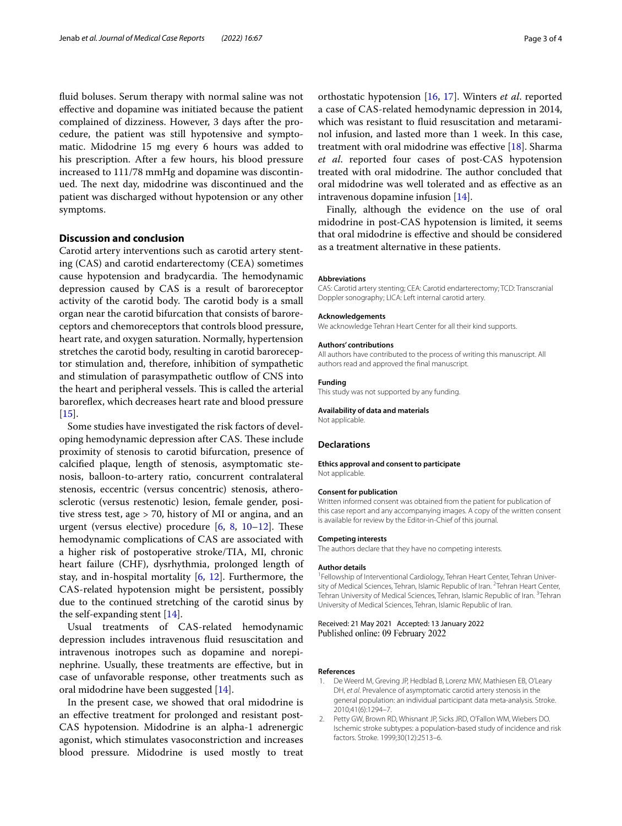fuid boluses. Serum therapy with normal saline was not efective and dopamine was initiated because the patient complained of dizziness. However, 3 days after the procedure, the patient was still hypotensive and symptomatic. Midodrine 15 mg every 6 hours was added to his prescription. After a few hours, his blood pressure increased to 111/78 mmHg and dopamine was discontinued. The next day, midodrine was discontinued and the patient was discharged without hypotension or any other symptoms.

## **Discussion and conclusion**

Carotid artery interventions such as carotid artery stenting (CAS) and carotid endarterectomy (CEA) sometimes cause hypotension and bradycardia. The hemodynamic depression caused by CAS is a result of baroreceptor activity of the carotid body. The carotid body is a small organ near the carotid bifurcation that consists of baroreceptors and chemoreceptors that controls blood pressure, heart rate, and oxygen saturation. Normally, hypertension stretches the carotid body, resulting in carotid baroreceptor stimulation and, therefore, inhibition of sympathetic and stimulation of parasympathetic outflow of CNS into the heart and peripheral vessels. This is called the arterial baroreflex, which decreases heart rate and blood pressure [[15\]](#page-3-9).

Some studies have investigated the risk factors of developing hemodynamic depression after CAS. These include proximity of stenosis to carotid bifurcation, presence of calcifed plaque, length of stenosis, asymptomatic stenosis, balloon-to-artery ratio, concurrent contralateral stenosis, eccentric (versus concentric) stenosis, atherosclerotic (versus restenotic) lesion, female gender, positive stress test, age > 70, history of MI or angina, and an urgent (versus elective) procedure  $[6, 8, 10-12]$  $[6, 8, 10-12]$  $[6, 8, 10-12]$  $[6, 8, 10-12]$  $[6, 8, 10-12]$  $[6, 8, 10-12]$  $[6, 8, 10-12]$ . These hemodynamic complications of CAS are associated with a higher risk of postoperative stroke/TIA, MI, chronic heart failure (CHF), dysrhythmia, prolonged length of stay, and in-hospital mortality [[6](#page-3-10), [12](#page-3-6)]. Furthermore, the CAS-related hypotension might be persistent, possibly due to the continued stretching of the carotid sinus by the self-expanding stent [[14\]](#page-3-8).

Usual treatments of CAS-related hemodynamic depression includes intravenous fuid resuscitation and intravenous inotropes such as dopamine and norepinephrine. Usually, these treatments are efective, but in case of unfavorable response, other treatments such as oral midodrine have been suggested [[14\]](#page-3-8).

In the present case, we showed that oral midodrine is an efective treatment for prolonged and resistant post-CAS hypotension. Midodrine is an alpha-1 adrenergic agonist, which stimulates vasoconstriction and increases blood pressure. Midodrine is used mostly to treat

orthostatic hypotension [\[16](#page-3-12), [17\]](#page-3-13). Winters *et al*. reported a case of CAS-related hemodynamic depression in 2014, which was resistant to fuid resuscitation and metaraminol infusion, and lasted more than 1 week. In this case, treatment with oral midodrine was efective [[18](#page-3-14)]. Sharma *et al*. reported four cases of post-CAS hypotension treated with oral midodrine. The author concluded that oral midodrine was well tolerated and as efective as an intravenous dopamine infusion [\[14](#page-3-8)].

Finally, although the evidence on the use of oral midodrine in post-CAS hypotension is limited, it seems that oral midodrine is efective and should be considered as a treatment alternative in these patients.

### **Abbreviations**

CAS: Carotid artery stenting; CEA: Carotid endarterectomy; TCD: Transcranial Doppler sonography; LICA: Left internal carotid artery.

#### **Acknowledgements**

We acknowledge Tehran Heart Center for all their kind supports.

#### **Authors' contributions**

All authors have contributed to the process of writing this manuscript. All authors read and approved the fnal manuscript.

# **Funding**

This study was not supported by any funding.

## **Availability of data and materials** Not applicable.

## **Declarations**

## **Ethics approval and consent to participate**

Not applicable.

## **Consent for publication**

Written informed consent was obtained from the patient for publication of this case report and any accompanying images. A copy of the written consent is available for review by the Editor-in-Chief of this journal.

### **Competing interests**

The authors declare that they have no competing interests.

### **Author details**

<sup>1</sup> Fellowship of Interventional Cardiology, Tehran Heart Center, Tehran University of Medical Sciences, Tehran, Islamic Republic of Iran. <sup>2</sup> Tehran Heart Center, Tehran University of Medical Sciences, Tehran, Islamic Republic of Iran. <sup>3</sup>Tehran University of Medical Sciences, Tehran, Islamic Republic of Iran.

## Received: 21 May 2021 Accepted: 13 January 2022 Published online: 09 February 2022

## **References**

- <span id="page-2-0"></span>1. De Weerd M, Greving JP, Hedblad B, Lorenz MW, Mathiesen EB, O'Leary DH, *et al*. Prevalence of asymptomatic carotid artery stenosis in the general population: an individual participant data meta-analysis. Stroke. 2010;41(6):1294–7.
- <span id="page-2-1"></span>2. Petty GW, Brown RD, Whisnant JP, Sicks JRD, O'Fallon WM, Wiebers DO. Ischemic stroke subtypes: a population-based study of incidence and risk factors. Stroke. 1999;30(12):2513–6.